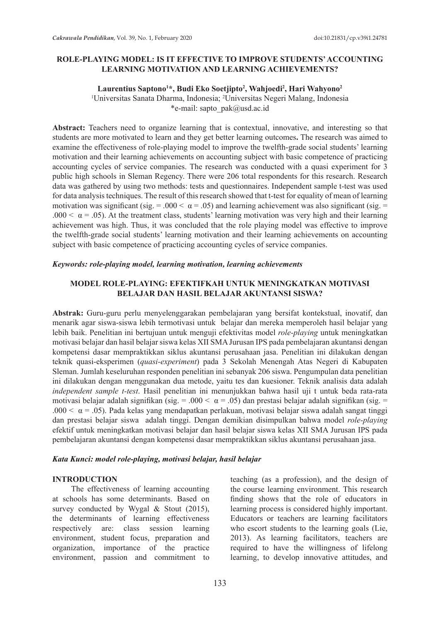## **ROLE-PLAYING MODEL: IS IT EFFECTIVE TO IMPROVE STUDENTS' ACCOUNTING LEARNING MOTIVATION AND LEARNING ACHIEVEMENTS?**

### **Laurentius Saptono1 \*, Budi Eko Soetjipto2 , Wahjoedi2 , Hari Wahyono2**

1 Universitas Sanata Dharma, Indonesia; 2 Universitas Negeri Malang, Indonesia \*e-mail: sapto\_pak@usd.ac.id

Abstract: Teachers need to organize learning that is contextual, innovative, and interesting so that students are more motivated to learn and they get better learning outcomes**.** The research was aimed to examine the effectiveness of role-playing model to improve the twelfth-grade social students' learning motivation and their learning achievements on accounting subject with basic competence of practicing accounting cycles of service companies. The research was conducted with a quasi experiment for 3 public high schools in Sleman Regency. There were 206 total respondents for this research. Research data was gathered by using two methods: tests and questionnaires. Independent sample t-test was used for data analysis techniques. The result of this research showed that t-test for equality of mean of learning motivation was significant (sig. = .000 <  $\alpha$  = .05) and learning achievement was also significant (sig. = .000  $\lt \alpha$  = .05). At the treatment class, students' learning motivation was very high and their learning achievement was high. Thus, it was concluded that the role playing model was effective to improve the twelfth-grade social students' learning motivation and their learning achievements on accounting subject with basic competence of practicing accounting cycles of service companies.

### *Keywords: role-playing model, learning motivation, learning achievements*

## **MODEL ROLE-PLAYING: EFEKTIFKAH UNTUK MENINGKATKAN MOTIVASI BELAJAR DAN HASIL BELAJAR AKUNTANSI SISWA?**

**Abstrak:** Guru-guru perlu menyelenggarakan pembelajaran yang bersifat kontekstual, inovatif, dan menarik agar siswa-siswa lebih termotivasi untuk belajar dan mereka memperoleh hasil belajar yang lebih baik. Penelitian ini bertujuan untuk menguji efektivitas model *role-playing* untuk meningkatkan motivasi belajar dan hasil belajar siswa kelas XII SMA Jurusan IPS pada pembelajaran akuntansi dengan kompetensi dasar mempraktikkan siklus akuntansi perusahaan jasa. Penelitian ini dilakukan dengan teknik quasi-eksperimen (*quasi-experiment*) pada 3 Sekolah Menengah Atas Negeri di Kabupaten Sleman. Jumlah keseluruhan responden penelitian ini sebanyak 206 siswa. Pengumpulan data penelitian ini dilakukan dengan menggunakan dua metode, yaitu tes dan kuesioner. Teknik analisis data adalah *independent sample t-test*. Hasil penelitian ini menunjukkan bahwa hasil uji t untuk beda rata-rata motivasi belajar adalah signifikan (sig. = .000 <  $\alpha$  = .05) dan prestasi belajar adalah signifikan (sig. = .000  $\lt \alpha$  = .05). Pada kelas yang mendapatkan perlakuan, motivasi belajar siswa adalah sangat tinggi dan prestasi belajar siswa adalah tinggi. Dengan demikian disimpulkan bahwa model *role-playing* efektif untuk meningkatkan motivasi belajar dan hasil belajar siswa kelas XII SMA Jurusan IPS pada pembelajaran akuntansi dengan kompetensi dasar mempraktikkan siklus akuntansi perusahaan jasa.

### *Kata Kunci: model role-playing, motivasi belajar, hasil belajar*

### **INTRODUCTION**

The effectiveness of learning accounting at schools has some determinants. Based on survey conducted by Wygal & Stout (2015), the determinants of learning effectiveness respectively are: class session learning environment, student focus, preparation and organization, importance of the practice environment, passion and commitment to teaching (as a profession), and the design of the course learning environment. This research finding shows that the role of educators in learning process is considered highly important. Educators or teachers are learning facilitators who escort students to the learning goals (Lie, 2013). As learning facilitators, teachers are required to have the willingness of lifelong learning, to develop innovative attitudes, and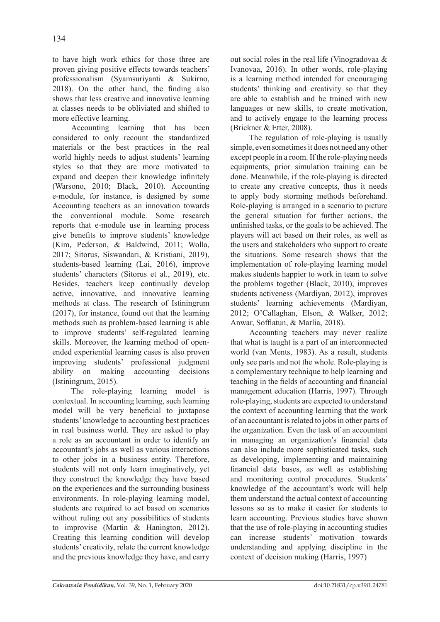to have high work ethics for those three are proven giving positive effects towards teachers' professionalism (Syamsuriyanti & Sukirno, 2018). On the other hand, the finding also shows that less creative and innovative learning at classes needs to be obliviated and shifted to more effective learning.

Accounting learning that has been considered to only recount the standardized materials or the best practices in the real world highly needs to adjust students' learning styles so that they are more motivated to expand and deepen their knowledge infinitely (Warsono, 2010; Black, 2010). Accounting e-module, for instance, is designed by some Accounting teachers as an innovation towards the conventional module. Some research reports that e-module use in learning process give benefits to improve students' knowledge (Kim, Pederson, & Baldwind, 2011; Wolla, 2017; Sitorus, Siswandari, & Kristiani, 2019), students-based learning (Lai, 2016), improve students' characters (Sitorus et al., 2019), etc. Besides, teachers keep continually develop active, innovative, and innovative learning methods at class. The research of Istiningrum (2017), for instance, found out that the learning methods such as problem-based learning is able to improve students' self-regulated learning skills. Moreover, the learning method of openended experiential learning cases is also proven improving students' professional judgment ability on making accounting decisions (Istiningrum, 2015).

The role-playing learning model is contextual. In accounting learning, such learning model will be very beneficial to juxtapose students' knowledge to accounting best practices in real business world. They are asked to play a role as an accountant in order to identify an accountant's jobs as well as various interactions to other jobs in a business entity. Therefore, students will not only learn imaginatively, yet they construct the knowledge they have based on the experiences and the surrounding business environments. In role-playing learning model, students are required to act based on scenarios without ruling out any possibilities of students to improvise (Martin & Hanington, 2012). Creating this learning condition will develop students' creativity, relate the current knowledge and the previous knowledge they have, and carry out social roles in the real life (Vinogradovaa & Ivanovaa, 2016). In other words, role-playing is a learning method intended for encouraging students' thinking and creativity so that they are able to establish and be trained with new languages or new skills, to create motivation, and to actively engage to the learning process (Brickner & Etter, 2008).

The regulation of role-playing is usually simple, even sometimes it does not need any other except people in a room. If the role-playing needs equipments, prior simulation training can be done. Meanwhile, if the role-playing is directed to create any creative concepts, thus it needs to apply body storming methods beforehand. Role-playing is arranged in a scenario to picture the general situation for further actions, the unfinished tasks, or the goals to be achieved. The players will act based on their roles, as well as the users and stakeholders who support to create the situations. Some research shows that the implementation of role-playing learning model makes students happier to work in team to solve the problems together (Black, 2010), improves students activeness (Mardiyan, 2012), improves students' learning achievements (Mardiyan, 2012; O'Callaghan, Elson, & Walker, 2012; Anwar, Soffiatun, & Marlia, 2018).

Accounting teachers may never realize that what is taught is a part of an interconnected world (van Ments, 1983). As a result, students only see parts and not the whole. Role-playing is a complementary technique to help learning and teaching in the fields of accounting and financial management education (Harris, 1997). Through role-playing, students are expected to understand the context of accounting learning that the work of an accountant is related to jobs in other parts of the organization. Even the task of an accountant in managing an organization's financial data can also include more sophisticated tasks, such as developing, implementing and maintaining financial data bases, as well as establishing and monitoring control procedures. Students' knowledge of the accountant's work will help them understand the actual context of accounting lessons so as to make it easier for students to learn accounting. Previous studies have shown that the use of role-playing in accounting studies can increase students' motivation towards understanding and applying discipline in the context of decision making (Harris, 1997)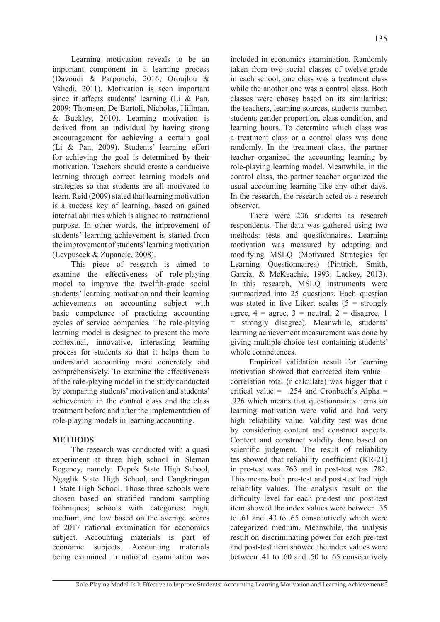Learning motivation reveals to be an important component in a learning process (Davoudi & Parpouchi, 2016; Oroujlou & Vahedi, 2011). Motivation is seen important since it affects students' learning (Li & Pan, 2009; Thomson, De Bortoli, Nicholas, Hillman, & Buckley, 2010). Learning motivation is derived from an individual by having strong encouragement for achieving a certain goal (Li & Pan, 2009). Students' learning effort for achieving the goal is determined by their motivation. Teachers should create a conducive learning through correct learning models and strategies so that students are all motivated to learn. Reid (2009) stated that learning motivation is a success key of learning, based on gained internal abilities which is aligned to instructional purpose. In other words, the improvement of students' learning achievement is started from the improvement of students' learning motivation (Levpuscek & Zupancic, 2008).

This piece of research is aimed to examine the effectiveness of role-playing model to improve the twelfth-grade social students' learning motivation and their learning achievements on accounting subject with basic competence of practicing accounting cycles of service companies. The role-playing learning model is designed to present the more contextual, innovative, interesting learning process for students so that it helps them to understand accounting more concretely and comprehensively. To examine the effectiveness of the role-playing model in the study conducted by comparing students' motivation and students' achievement in the control class and the class treatment before and after the implementation of role-playing models in learning accounting.

## **METHODS**

The research was conducted with a quasi experiment at three high school in Sleman Regency, namely: Depok State High School, Ngaglik State High School, and Cangkringan 1 State High School. Those three schools were chosen based on stratified random sampling techniques; schools with categories: high, medium, and low based on the average scores of 2017 national examination for economics subject. Accounting materials is part of economic subjects. Accounting materials being examined in national examination was included in economics examination. Randomly taken from two social classes of twelve-grade in each school, one class was a treatment class while the another one was a control class. Both classes were choses based on its similarities: the teachers, learning sources, students number, students gender proportion, class condition, and learning hours. To determine which class was a treatment class or a control class was done randomly. In the treatment class, the partner teacher organized the accounting learning by role-playing learning model. Meanwhile, in the control class, the partner teacher organized the usual accounting learning like any other days. In the research, the research acted as a research observer.

There were 206 students as research respondents. The data was gathered using two methods: tests and questionnaires. Learning motivation was measured by adapting and modifying MSLQ (Motivated Strategies for Learning Questionnaires) (Pintrich, Smith, Garcia, & McKeachie, 1993; Lackey, 2013). In this research, MSLQ instruments were summarized into 25 questions. Each question was stated in five Likert scales  $(5 =$  strongly agree,  $4 = \text{agree}, 3 = \text{neutral}, 2 = \text{disagree}, 1$ = strongly disagree). Meanwhile, students' learning achievement measurement was done by giving multiple-choice test containing students' whole competences.

Empirical validation result for learning motivation showed that corrected item value – correlation total (r calculate) was bigger that r critical value = .254 and Cronbach's Alpha = .926 which means that questionnaires items on learning motivation were valid and had very high reliability value. Validity test was done by considering content and construct aspects. Content and construct validity done based on scientific judgment. The result of reliability tes showed that reliability coefficient (KR-21) in pre-test was .763 and in post-test was .782. This means both pre-test and post-test had high reliability values. The analysis result on the difficulty level for each pre-test and post-test item showed the index values were between .35 to .61 and .43 to .65 consecutively which were categorized medium. Meanwhile, the analysis result on discriminating power for each pre-test and post-test item showed the index values were between .41 to .60 and .50 to .65 consecutively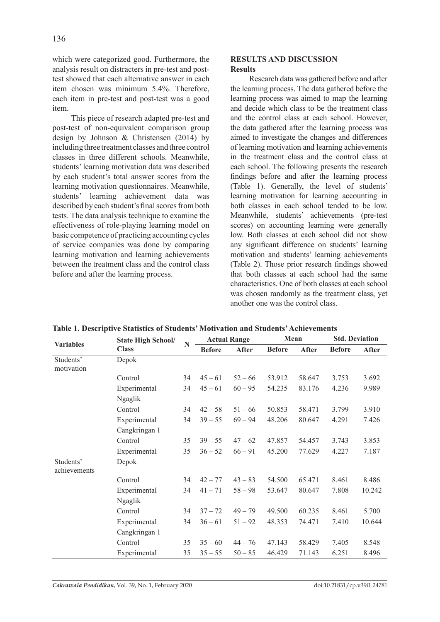which were categorized good. Furthermore, the analysis result on distracters in pre-test and posttest showed that each alternative answer in each item chosen was minimum 5.4%. Therefore, each item in pre-test and post-test was a good item.

This piece of research adapted pre-test and post-test of non-equivalent comparison group design by Johnson & Christensen (2014) by including three treatment classes and three control classes in three different schools. Meanwhile, students' learning motivation data was described by each student's total answer scores from the learning motivation questionnaires. Meanwhile, students' learning achievement data was described by each student's final scores from both tests. The data analysis technique to examine the effectiveness of role-playing learning model on basic competence of practicing accounting cycles of service companies was done by comparing learning motivation and learning achievements between the treatment class and the control class before and after the learning process.

## **RESULTS AND DISCUSSION Results**

Research data was gathered before and after the learning process. The data gathered before the learning process was aimed to map the learning and decide which class to be the treatment class and the control class at each school. However, the data gathered after the learning process was aimed to investigate the changes and differences of learning motivation and learning achievements in the treatment class and the control class at each school. The following presents the research findings before and after the learning process (Table 1). Generally, the level of students' learning motivation for learning accounting in both classes in each school tended to be low. Meanwhile, students' achievements (pre-test scores) on accounting learning were generally low. Both classes at each school did not show any significant difference on students' learning motivation and students' learning achievements (Table 2). Those prior research findings showed that both classes at each school had the same characteristics. One of both classes at each school was chosen randomly as the treatment class, yet another one was the control class.

|                           |                           |    | radic 1. Descriptive Statistics of Statistics Thottvation and Statiches' Achievements |              |               |              |                       |              |  |  |
|---------------------------|---------------------------|----|---------------------------------------------------------------------------------------|--------------|---------------|--------------|-----------------------|--------------|--|--|
| <b>Variables</b>          | <b>State High School/</b> | N  | <b>Actual Range</b>                                                                   |              | Mean          |              | <b>Std. Deviation</b> |              |  |  |
|                           | <b>Class</b>              |    | <b>Before</b>                                                                         | <b>After</b> | <b>Before</b> | <b>After</b> | <b>Before</b>         | <b>After</b> |  |  |
| Students'<br>motivation   | Depok                     |    |                                                                                       |              |               |              |                       |              |  |  |
|                           | Control                   | 34 | $45 - 61$                                                                             | $52 - 66$    | 53.912        | 58.647       | 3.753                 | 3.692        |  |  |
|                           | Experimental              | 34 | $45 - 61$                                                                             | $60 - 95$    | 54.235        | 83.176       | 4.236                 | 9.989        |  |  |
|                           | Ngaglik                   |    |                                                                                       |              |               |              |                       |              |  |  |
|                           | Control                   | 34 | $42 - 58$                                                                             | $51 - 66$    | 50.853        | 58.471       | 3.799                 | 3.910        |  |  |
|                           | Experimental              | 34 | $39 - 55$                                                                             | $69 - 94$    | 48.206        | 80.647       | 4.291                 | 7.426        |  |  |
|                           | Cangkringan 1             |    |                                                                                       |              |               |              |                       |              |  |  |
|                           | Control                   | 35 | $39 - 55$                                                                             | $47 - 62$    | 47.857        | 54.457       | 3.743                 | 3.853        |  |  |
|                           | Experimental              | 35 | $36 - 52$                                                                             | $66 - 91$    | 45.200        | 77.629       | 4.227                 | 7.187        |  |  |
| Students'<br>achievements | Depok                     |    |                                                                                       |              |               |              |                       |              |  |  |
|                           | Control                   | 34 | $42 - 77$                                                                             | $43 - 83$    | 54.500        | 65.471       | 8.461                 | 8.486        |  |  |
|                           | Experimental              | 34 | $41 - 71$                                                                             | $58 - 98$    | 53.647        | 80.647       | 7.808                 | 10.242       |  |  |
|                           | Ngaglik                   |    |                                                                                       |              |               |              |                       |              |  |  |
|                           | Control                   | 34 | $37 - 72$                                                                             | $49 - 79$    | 49.500        | 60.235       | 8.461                 | 5.700        |  |  |
|                           | Experimental<br>34        |    | $36 - 61$                                                                             | $51 - 92$    | 48.353        | 74.471       | 7.410                 | 10.644       |  |  |
|                           | Cangkringan 1             |    |                                                                                       |              |               |              |                       |              |  |  |
|                           | Control                   | 35 | $35 - 60$                                                                             | $44 - 76$    | 47.143        | 58.429       | 7.405                 | 8.548        |  |  |
|                           | Experimental              | 35 | $35 - 55$                                                                             | $50 - 85$    | 46.429        | 71.143       | 6.251                 | 8.496        |  |  |

**Table 1. Descriptive Statistics of Students' Motivation and Students' Achievements**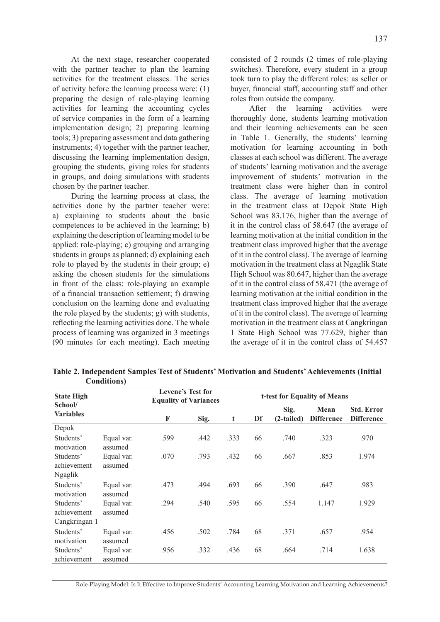At the next stage, researcher cooperated with the partner teacher to plan the learning activities for the treatment classes. The series of activity before the learning process were: (1) preparing the design of role-playing learning activities for learning the accounting cycles of service companies in the form of a learning implementation design; 2) preparing learning tools; 3) preparing assessment and data gathering instruments; 4) together with the partner teacher, discussing the learning implementation design, grouping the students, giving roles for students in groups, and doing simulations with students chosen by the partner teacher.

During the learning process at class, the activities done by the partner teacher were: a) explaining to students about the basic competences to be achieved in the learning; b) explaining the description of learning model to be applied: role-playing; c) grouping and arranging students in groups as planned; d) explaining each role to played by the students in their group; e) asking the chosen students for the simulations in front of the class: role-playing an example of a financial transaction settlement; f) drawing conclusion on the learning done and evaluating the role played by the students; g) with students, reflecting the learning activities done. The whole process of learning was organized in 3 meetings (90 minutes for each meeting). Each meeting consisted of 2 rounds (2 times of role-playing switches). Therefore, every student in a group took turn to play the different roles: as seller or buyer, financial staff, accounting staff and other roles from outside the company.

After the learning activities were thoroughly done, students learning motivation and their learning achievements can be seen in Table 1. Generally, the students' learning motivation for learning accounting in both classes at each school was different. The average of students' learning motivation and the average improvement of students' motivation in the treatment class were higher than in control class. The average of learning motivation in the treatment class at Depok State High School was 83.176, higher than the average of it in the control class of 58.647 (the average of learning motivation at the initial condition in the treatment class improved higher that the average of it in the control class). The average of learning motivation in the treatment class at Ngaglik State High School was 80.647, higher than the average of it in the control class of 58.471 (the average of learning motivation at the initial condition in the treatment class improved higher that the average of it in the control class). The average of learning motivation in the treatment class at Cangkringan 1 State High School was 77.629, higher than the average of it in the control class of 54.457

|                                           | $\mathbf{\sim}$ on the control |                                                          |      |      |    |                              |                           |                                        |  |  |
|-------------------------------------------|--------------------------------|----------------------------------------------------------|------|------|----|------------------------------|---------------------------|----------------------------------------|--|--|
| <b>State High</b>                         |                                | <b>Levene's Test for</b><br><b>Equality of Variances</b> |      |      |    | t-test for Equality of Means |                           |                                        |  |  |
| School/<br><b>Variables</b>               |                                | F                                                        | Sig. | t    | Df | Sig.<br>(2-tailed)           | Mean<br><b>Difference</b> | <b>Std. Error</b><br><b>Difference</b> |  |  |
| Depok                                     |                                |                                                          |      |      |    |                              |                           |                                        |  |  |
| Students'<br>motivation                   | Equal var.<br>assumed          | .599                                                     | .442 | .333 | 66 | .740                         | .323                      | .970                                   |  |  |
| Students'<br>achievement<br>Ngaglik       | Equal var.<br>assumed          | .070                                                     | .793 | .432 | 66 | .667                         | .853                      | 1.974                                  |  |  |
| Students'<br>motivation                   | Equal var.<br>assumed          | .473                                                     | .494 | .693 | 66 | .390                         | .647                      | .983                                   |  |  |
| Students'<br>achievement<br>Cangkringan 1 | Equal var.<br>assumed          | .294                                                     | .540 | .595 | 66 | .554                         | 1.147                     | 1.929                                  |  |  |
| Students'<br>motivation                   | Equal var.<br>assumed          | .456                                                     | .502 | .784 | 68 | .371                         | .657                      | .954                                   |  |  |
| Students'<br>achievement                  | Equal var.<br>assumed          | .956                                                     | .332 | .436 | 68 | .664                         | .714                      | 1.638                                  |  |  |

**Table 2. Independent Samples Test of Students' Motivation and Students' Achievements (Initial Conditions)**

Role-Playing Model: Is It Effective to Improve Students' Accounting Learning Motivation and Learning Achievements?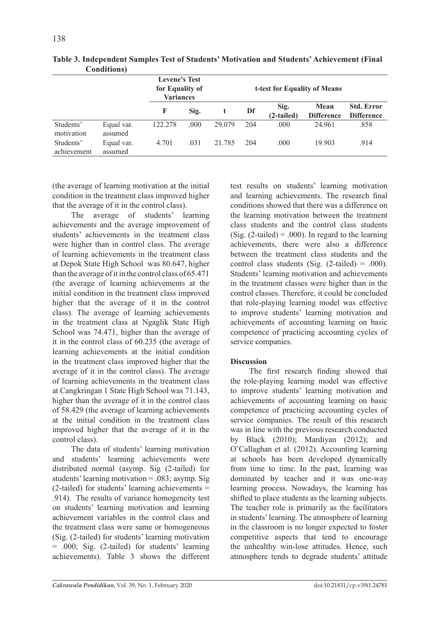|                          |                       | <b>Levene's Test</b><br>for Equality of<br><b>Variances</b> | t-test for Equality of Means |        |     |                    |                           |                                        |
|--------------------------|-----------------------|-------------------------------------------------------------|------------------------------|--------|-----|--------------------|---------------------------|----------------------------------------|
|                          |                       | F                                                           | Sig.                         |        | Df  | Sig.<br>(2-tailed) | Mean<br><b>Difference</b> | <b>Std. Error</b><br><b>Difference</b> |
| Students'<br>motivation  | Equal var.<br>assumed | 122.278                                                     | .000                         | 29.079 | 204 | .000               | 24.961                    | .858                                   |
| Students'<br>achievement | Equal var.<br>assumed | 4.701                                                       | .031                         | 21.785 | 204 | .000               | 19.903                    | .914                                   |

**Table 3. Independent Samples Test of Students' Motivation and Students' Achievement (Final Conditions)**

(the average of learning motivation at the initial condition in the treatment class improved higher that the average of it in the control class).

The average of students' learning achievements and the average improvement of students' achievements in the treatment class were higher than in control class. The average of learning achievements in the treatment class at Depok State High School was 80.647, higher than the average of it in the control class of 65.471 (the average of learning achievements at the initial condition in the treatment class improved higher that the average of it in the control class). The average of learning achievements in the treatment class at Ngaglik State High School was 74.471, higher than the average of it in the control class of 60.235 (the average of learning achievements at the initial condition in the treatment class improved higher that the average of it in the control class). The average of learning achievements in the treatment class at Cangkringan 1 State High School was 71.143, higher than the average of it in the control class of 58.429 (the average of learning achievements at the initial condition in the treatment class improved higher that the average of it in the control class).

The data of students' learning motivation and students' learning achievements were distributed normal (asymp. Sig (2-tailed) for students' learning motivation = .083; asymp. Sig (2-tailed) for students' learning achievements = .914). The results of variance homogeneity test on students' learning motivation and learning achievement variables in the control class and the treatment class were same or homogeneous (Sig. (2-tailed) for students' learning motivation = .000; Sig. (2-tailed) for students' learning achievements). Table 3 shows the different test results on students' learning motivation and learning achievements. The research final conditions showed that there was a difference on the learning motivation between the treatment class students and the control class students (Sig.  $(2$ -tailed) = .000). In regard to the learning achievements, there were also a difference between the treatment class students and the control class students (Sig.  $(2\t- 1$ ailed) = .000). Students' learning motivation and achievements in the treatment classes were higher than in the control classes. Therefore, it could be concluded that role-playing learning model was effective to improve students' learning motivation and achievements of accounting learning on basic competence of practicing accounting cycles of service companies.

# **Discussion**

The first research finding showed that the role-playing learning model was effective to improve students' learning motivation and achievements of accounting learning on basic competence of practicing accounting cycles of service companies. The result of this research was in line with the previous research conducted by Black (2010); Mardiyan (2012); and O'Callaghan et al. (2012). Accounting learning at schools has been developed dynamically from time to time. In the past, learning was dominated by teacher and it was one-way learning process. Nowadays, the learning has shifted to place students as the learning subjects. The teacher role is primarily as the facilitators in students' learning. The atmosphere of learning in the classroom is no longer expected to foster competitive aspects that tend to encourage the unhealthy win-lose attitudes. Hence, such atmosphere tends to degrade students' attitude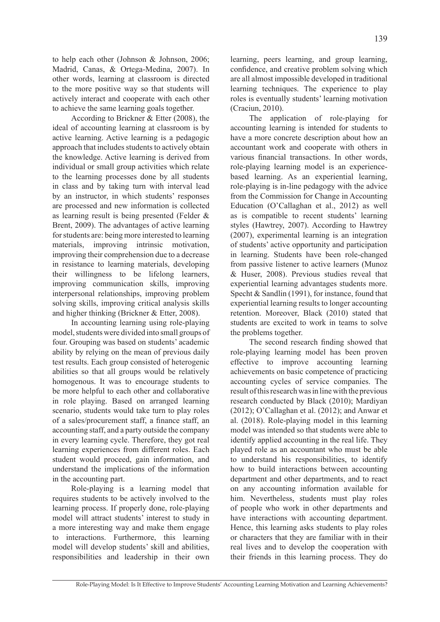to help each other (Johnson & Johnson, 2006; Madrid, Canas, & Ortega-Medina, 2007). In other words, learning at classroom is directed to the more positive way so that students will actively interact and cooperate with each other to achieve the same learning goals together.

According to Brickner & Etter (2008), the ideal of accounting learning at classroom is by active learning. Active learning is a pedagogic approach that includes students to actively obtain the knowledge. Active learning is derived from individual or small group activities which relate to the learning processes done by all students in class and by taking turn with interval lead by an instructor, in which students' responses are processed and new information is collected as learning result is being presented (Felder & Brent, 2009). The advantages of active learning for students are: being more interested to learning materials, improving intrinsic motivation, improving their comprehension due to a decrease in resistance to learning materials, developing their willingness to be lifelong learners, improving communication skills, improving interpersonal relationships, improving problem solving skills, improving critical analysis skills and higher thinking (Brickner & Etter, 2008).

In accounting learning using role-playing model, students were divided into small groups of four. Grouping was based on students' academic ability by relying on the mean of previous daily test results. Each group consisted of heterogenic abilities so that all groups would be relatively homogenous. It was to encourage students to be more helpful to each other and collaborative in role playing. Based on arranged learning scenario, students would take turn to play roles of a sales/procurement staff, a finance staff, an accounting staff, and a party outside the company in every learning cycle. Therefore, they got real learning experiences from different roles. Each student would proceed, gain information, and understand the implications of the information in the accounting part.

Role-playing is a learning model that requires students to be actively involved to the learning process. If properly done, role-playing model will attract students' interest to study in a more interesting way and make them engage to interactions. Furthermore, this learning model will develop students' skill and abilities, responsibilities and leadership in their own

learning, peers learning, and group learning, confidence, and creative problem solving which are all almost impossible developed in traditional learning techniques. The experience to play roles is eventually students' learning motivation (Craciun, 2010).

The application of role-playing for accounting learning is intended for students to have a more concrete description about how an accountant work and cooperate with others in various financial transactions. In other words, role-playing learning model is an experiencebased learning. As an experiential learning, role-playing is in-line pedagogy with the advice from the Commission for Change in Accounting Education (O'Callaghan et al., 2012) as well as is compatible to recent students' learning styles (Hawtrey, 2007). According to Hawtrey (2007), experimental learning is an integration of students' active opportunity and participation in learning. Students have been role-changed from passive listener to active learners (Munoz & Huser, 2008). Previous studies reveal that experiential learning advantages students more. Specht & Sandlin (1991), for instance, found that experiential learning results to longer accounting retention. Moreover, Black (2010) stated that students are excited to work in teams to solve the problems together.

The second research finding showed that role-playing learning model has been proven effective to improve accounting learning achievements on basic competence of practicing accounting cycles of service companies. The result of this research was in line with the previous research conducted by Black (2010); Mardiyan (2012); O'Callaghan et al. (2012); and Anwar et al. (2018). Role-playing model in this learning model was intended so that students were able to identify applied accounting in the real life. They played role as an accountant who must be able to understand his responsibilities, to identify how to build interactions between accounting department and other departments, and to react on any accounting information available for him. Nevertheless, students must play roles of people who work in other departments and have interactions with accounting department. Hence, this learning asks students to play roles or characters that they are familiar with in their real lives and to develop the cooperation with their friends in this learning process. They do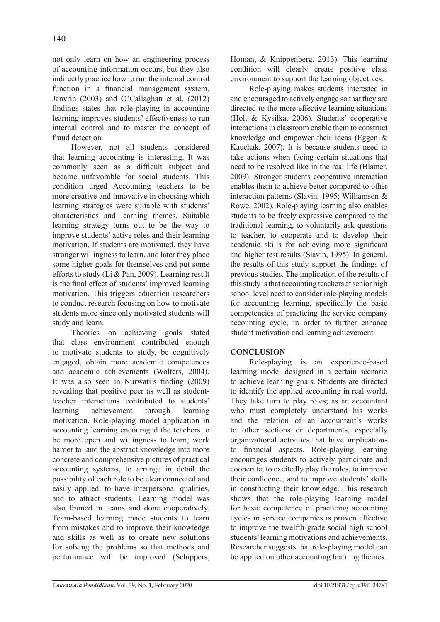not only learn on how an engineering process of accounting information occurs, but they also indirectly practice how to run the internal control function in a financial management system. Janvrin (2003) and O'Callaghan et al. (2012) findings states that role-playing in accounting learning improves students' effectiveness to run internal control and to master the concept of fraud detection.

However, not all students considered that learning accounting is interesting. It was commonly seen as a difficult subject and became unfavorable for social students. This condition urged Accounting teachers to be more creative and innovative in choosing which learning strategies were suitable with students' characteristics and learning themes. Suitable learning strategy turns out to be the way to improve students' active roles and their learning motivation. If students are motivated, they have stronger willingness to learn, and later they place some higher goals for themselves and put some efforts to study (Li & Pan, 2009). Learning result is the final effect of students' improved learning motivation. This triggers education researchers to conduct research focusing on how to motivate students more since only motivated students will study and learn.

Theories on achieving goals stated that class environment contributed enough to motivate students to study, be cognitively engaged, obtain more academic competences and academic achievements (Wolters, 2004). It was also seen in Nurwati's finding (2009) revealing that positive peer as well as studentteacher interactions contributed to students' learning achievement through learning motivation. Role-playing model application in accounting learning encouraged the teachers to be more open and willingness to learn, work harder to land the abstract knowledge into more concrete and comprehensive pictures of practical accounting systems, to arrange in detail the possibility of each role to be clear connected and easily applied, to have interpersonal qualities, and to attract students. Learning model was also framed in teams and done cooperatively. Team-based learning made students to learn from mistakes and to improve their knowledge and skills as well as to create new solutions for solving the problems so that methods and performance will be improved (Schippers, Homan, & Knippenberg, 2013). This learning condition will clearly create positive class environment to support the learning objectives.

Role-playing makes students interested in and encouraged to actively engage so that they are directed to the more effective learning situations (Holt & Kysilka, 2006). Students' cooperative interactions in classroom enable them to construct knowledge and empower their ideas (Eggen & Kauchak, 2007). It is because students need to take actions when facing certain situations that need to be resolved like in the real life (Blatner, 2009). Stronger students cooperative interaction enables them to achieve better compared to other interaction patterns (Slavin, 1995; Williamson & Rowe, 2002). Role-playing learning also enables students to be freely expressive compared to the traditional learning, to voluntarily ask questions to teacher, to cooperate and to develop their academic skills for achieving more significant and higher test results (Slavin, 1995). In general, the results of this study support the findings of previous studies. The implication of the results of this study is that accounting teachers at senior high school level need to consider role-playing models for accounting learning, specifically the basic competencies of practicing the service company accounting cycle, in order to further enhance student motivation and learning achievement.

## **CONCLUSION**

Role-playing is an experience-based learning model designed in a certain scenario to achieve learning goals. Students are directed to identify the applied accounting in real world. They take turn to play roles; as an accountant who must completely understand his works and the relation of an accountant's works to other sections or departments, especially organizational activities that have implications to financial aspects. Role-playing learning encourages students to actively participate and cooperate, to excitedly play the roles, to improve their confidence, and to improve students' skills in constructing their knowledge. This research shows that the role-playing learning model for basic competence of practicing accounting cycles in service companies is proven effective to improve the twelfth-grade social high school students' learning motivations and achievements. Researcher suggests that role-playing model can be applied on other accounting learning themes.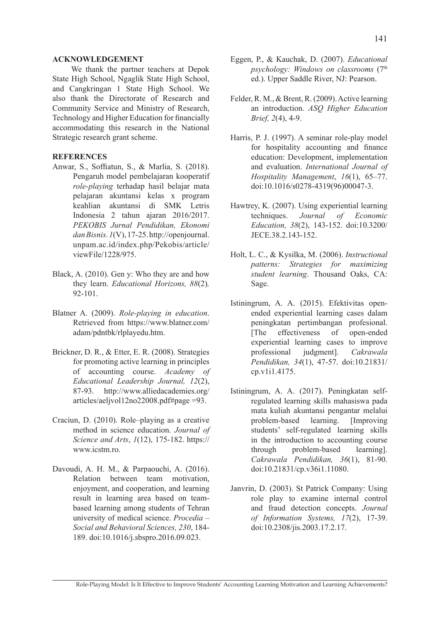#### **ACKNOWLEDGEMENT**

We thank the partner teachers at Depok State High School, Ngaglik State High School, and Cangkringan 1 State High School. We also thank the Directorate of Research and Community Service and Ministry of Research, Technology and Higher Education for financially accommodating this research in the National Strategic research grant scheme.

### **REFERENCES**

- Anwar, S., Soffiatun, S., & Marlia, S. (2018). Pengaruh model pembelajaran kooperatif *role-playing* terhadap hasil belajar mata pelajaran akuntansi kelas x program keahlian akuntansi di SMK Letris Indonesia 2 tahun ajaran 2016/2017. *PEKOBIS Jurnal Pendidikan, Ekonomi dan Bisnis*. *1*(V), 17-25. http://openjournal. unpam.ac.id/index.php/Pekobis/article/ viewFile/1228/975.
- Black, A. (2010). Gen y: Who they are and how they learn. *Educational Horizons, 88*(2)*,*  92-101.
- Blatner A. (2009). *Role-playing in education*. Retrieved from https://www.blatner.com/ adam/pdntbk/rlplayedu.htm.
- Brickner, D. R., & Etter, E. R. (2008). Strategies for promoting active learning in principles of accounting course. *Academy of Educational Leadership Journal, 12*(2), 87-93. http://www.alliedacademies.org/ articles/aeljvol12no22008.pdf#page =93.
- Craciun, D. (2010). Role–playing as a creative method in science education. *Journal of Science and Arts*, *1*(12), 175-182. https:// www.icstm.ro.
- Davoudi, A. H. M., & Parpaouchi, A. (2016). Relation between team motivation, enjoyment, and cooperation, and learning result in learning area based on teambased learning among students of Tehran university of medical science. *Procedia – Social and Behavioral Sciences, 230*, 184- 189. doi:10.1016/j.sbspro.2016.09.023.
- Eggen, P., & Kauchak, D. (2007). *Educational psychology: Windows on classrooms* (7th ed.). Upper Saddle River, NJ: Pearson.
- Felder, R. M., & Brent, R. (2009). Active learning an introduction. *ASQ Higher Education Brief, 2*(4), 4-9.
- Harris, P. J. (1997). A seminar role-play model for hospitality accounting and finance education: Development, implementation and evaluation. *International Journal of Hospitality Management*, *16*(1), 65–77. doi:10.1016/s0278-4319(96)00047-3.
- Hawtrey, K. (2007). Using experiential learning techniques. *Journal of Economic Education, 38*(2), 143-152. doi:10.3200/ JECE.38.2.143-152.
- Holt, L. C., & Kysilka, M. (2006). *Instructional patterns: Strategies for maximizing student learning*. Thousand Oaks, CA: Sage.
- Istiningrum, A. A. (2015). Efektivitas openended experiential learning cases dalam peningkatan pertimbangan profesional. [The effectiveness of open-ended experiential learning cases to improve professional judgment]. *Cakrawala Pendidikan, 34*(1), 47-57. doi:10.21831/ cp.v1i1.4175.
- Istiningrum, A. A. (2017). Peningkatan selfregulated learning skills mahasiswa pada mata kuliah akuntansi pengantar melalui problem-based learning. [Improving students' self-regulated learning skills in the introduction to accounting course through problem-based learning]. *Cakrawala Pendidikan, 36*(1), 81-90. doi:10.21831/cp.v36i1.11080.
- Janvrin, D. (2003). St Patrick Company: Using role play to examine internal control and fraud detection concepts. *Journal of Information Systems, 17*(2), 17-39. doi:10.2308/jis.2003.17.2.17.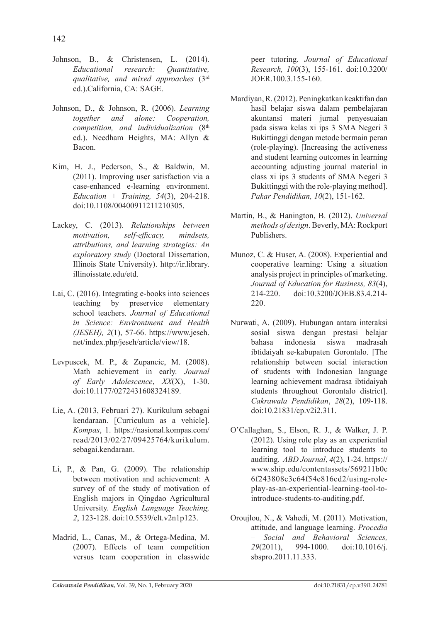- Johnson, B., & Christensen, L. (2014). *Educational research: Quantitative, qualitative, and mixed approaches* (3rd ed.).California, CA: SAGE.
- Johnson, D., & Johnson, R. (2006). *Learning together and alone: Cooperation, competition, and individualization* (8th ed.). Needham Heights, MA: Allyn & Bacon.
- Kim, H. J., Pederson, S., & Baldwin, M. (2011). Improving user satisfaction via a case-enhanced e-learning environment. *Education + Training, 54*(3), 204-218. doi:10.1108/00400911211210305.
- Lackey, C. (2013). *Relationships between motivation, self-efficacy, mindsets, attributions, and learning strategies: An exploratory study* (Doctoral Dissertation, Illinois State University). http://ir.library. illinoisstate.edu/etd.
- Lai, C. (2016). Integrating e-books into sciences<br>teaching by preservice elementary by preservice elementary school teachers. *Journal of Educational in Science: Environtment and Health (JESEH), 2*(1), 57-66. https://www.jeseh. net/index.php/jeseh/article/view/18.
- Levpuscek, M. P., & Zupancic, M. (2008). Math achievement in early. *Journal of Early Adolescence*, *XX*(X), 1-30. doi:10.1177/0272431608324189.
- Lie, A. (2013, Februari 27). Kurikulum sebagai kendaraan. [Curriculum as a vehicle]. *Kompas*, 1. https://nasional.kompas.com/ read/2013/02/27/09425764/kurikulum. sebagai.kendaraan.
- Li, P., & Pan, G. (2009). The relationship between motivation and achievement: A survey of of the study of motivation of English majors in Qingdao Agricultural University. *English Language Teaching, 2*, 123-128. doi:10.5539/elt.v2n1p123.
- Madrid, L., Canas, M., & Ortega-Medina, M. (2007). Effects of team competition versus team cooperation in classwide

peer tutoring. *Journal of Educational Research, 100*(3), 155-161. doi:10.3200/ JOER.100.3.155-160.

- Mardiyan, R. (2012). Peningkatkan keaktifan dan hasil belajar siswa dalam pembelajaran akuntansi materi jurnal penyesuaian pada siswa kelas xi ips 3 SMA Negeri 3 Bukittinggi dengan metode bermain peran (role-playing). [Increasing the activeness and student learning outcomes in learning accounting adjusting journal material in class xi ips 3 students of SMA Negeri 3 Bukittinggi with the role-playing method]. *Pakar Pendidikan, 10*(2), 151-162.
- Martin, B., & Hanington, B. (2012). *Universal methods of design*. Beverly, MA: Rockport Publishers.
- Munoz, C. & Huser, A. (2008). Experiential and cooperative learning: Using a situation analysis project in principles of marketing. *Journal of Education for Business, 83*(4), 214-220. doi:10.3200/JOEB.83.4.214- 220.
- Nurwati, A. (2009). Hubungan antara interaksi sosial siswa dengan prestasi belajar bahasa indonesia siswa madrasah ibtidaiyah se-kabupaten Gorontalo. [The relationship between social interaction of students with Indonesian language learning achievement madrasa ibtidaiyah students throughout Gorontalo district]. *Cakrawala Pendidikan*, *28*(2), 109-118. doi:10.21831/cp.v2i2.311.
- O'Callaghan, S., Elson, R. J., & Walker, J. P. (2012). Using role play as an experiential learning tool to introduce students to auditing. *ABD Journal*, *4*(2), 1-24. https:// www.ship.edu/contentassets/569211b0c 6f243808c3c64f54e816cd2/using-roleplay-as-an-experiential-learning-tool-tointroduce-students-to-auditing.pdf.
- Oroujlou, N., & Vahedi, M. (2011). Motivation, attitude, and language learning. *Procedia – Social and Behavioral Sciences, 29*(2011), 994-1000. doi:10.1016/j. sbspro.2011.11.333.